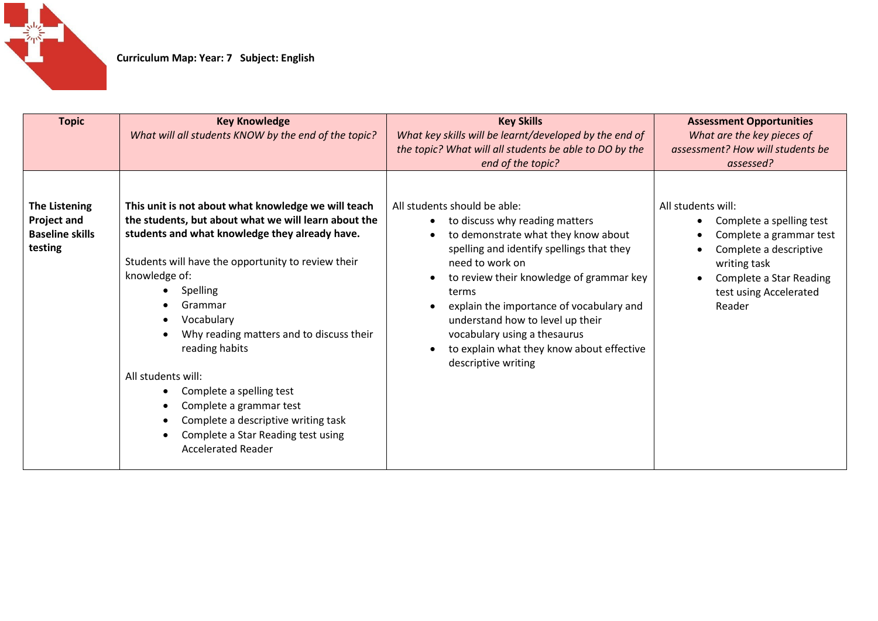

| <b>Topic</b>                                                                    | <b>Key Knowledge</b><br>What will all students KNOW by the end of the topic?                                                                                                                                                                                                                                                                                                                                                                                                                                                   | <b>Key Skills</b><br>What key skills will be learnt/developed by the end of<br>the topic? What will all students be able to DO by the<br>end of the topic?                                                                                                                                                                                                                                                                  | <b>Assessment Opportunities</b><br>What are the key pieces of<br>assessment? How will students be<br>assessed?                                                                                       |
|---------------------------------------------------------------------------------|--------------------------------------------------------------------------------------------------------------------------------------------------------------------------------------------------------------------------------------------------------------------------------------------------------------------------------------------------------------------------------------------------------------------------------------------------------------------------------------------------------------------------------|-----------------------------------------------------------------------------------------------------------------------------------------------------------------------------------------------------------------------------------------------------------------------------------------------------------------------------------------------------------------------------------------------------------------------------|------------------------------------------------------------------------------------------------------------------------------------------------------------------------------------------------------|
| <b>The Listening</b><br><b>Project and</b><br><b>Baseline skills</b><br>testing | This unit is not about what knowledge we will teach<br>the students, but about what we will learn about the<br>students and what knowledge they already have.<br>Students will have the opportunity to review their<br>knowledge of:<br>Spelling<br>Grammar<br>Vocabulary<br>Why reading matters and to discuss their<br>reading habits<br>All students will:<br>Complete a spelling test<br>Complete a grammar test<br>Complete a descriptive writing task<br>Complete a Star Reading test using<br><b>Accelerated Reader</b> | All students should be able:<br>to discuss why reading matters<br>$\bullet$<br>to demonstrate what they know about<br>spelling and identify spellings that they<br>need to work on<br>to review their knowledge of grammar key<br>terms<br>explain the importance of vocabulary and<br>understand how to level up their<br>vocabulary using a thesaurus<br>to explain what they know about effective<br>descriptive writing | All students will:<br>Complete a spelling test<br>$\bullet$<br>Complete a grammar test<br>٠<br>Complete a descriptive<br>writing task<br>Complete a Star Reading<br>test using Accelerated<br>Reader |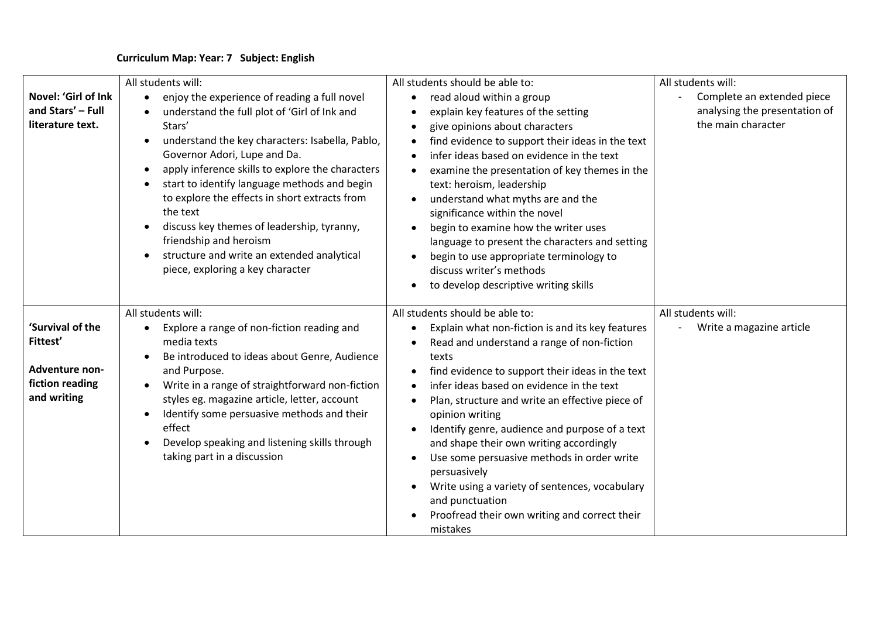| Novel: 'Girl of Ink                                     | All students will:<br>enjoy the experience of reading a full novel<br>$\bullet$                                                                                                                                                                                                                                                                                                                                                                                                   | All students should be able to:<br>read aloud within a group                                                                                                                                                                                                                                                                                                                                                                                                                                                                                                                                          | All students will:<br>Complete an extended piece    |
|---------------------------------------------------------|-----------------------------------------------------------------------------------------------------------------------------------------------------------------------------------------------------------------------------------------------------------------------------------------------------------------------------------------------------------------------------------------------------------------------------------------------------------------------------------|-------------------------------------------------------------------------------------------------------------------------------------------------------------------------------------------------------------------------------------------------------------------------------------------------------------------------------------------------------------------------------------------------------------------------------------------------------------------------------------------------------------------------------------------------------------------------------------------------------|-----------------------------------------------------|
| and Stars' - Full<br>literature text.                   | understand the full plot of 'Girl of Ink and<br>Stars'<br>understand the key characters: Isabella, Pablo,<br>Governor Adori, Lupe and Da.<br>apply inference skills to explore the characters<br>$\bullet$<br>start to identify language methods and begin<br>to explore the effects in short extracts from<br>the text<br>discuss key themes of leadership, tyranny,<br>friendship and heroism<br>structure and write an extended analytical<br>piece, exploring a key character | explain key features of the setting<br>$\bullet$<br>give opinions about characters<br>$\bullet$<br>find evidence to support their ideas in the text<br>$\bullet$<br>infer ideas based on evidence in the text<br>examine the presentation of key themes in the<br>text: heroism, leadership<br>understand what myths are and the<br>$\bullet$<br>significance within the novel<br>begin to examine how the writer uses<br>language to present the characters and setting<br>begin to use appropriate terminology to<br>$\bullet$<br>discuss writer's methods<br>to develop descriptive writing skills | analysing the presentation of<br>the main character |
|                                                         | All students will:                                                                                                                                                                                                                                                                                                                                                                                                                                                                | All students should be able to:                                                                                                                                                                                                                                                                                                                                                                                                                                                                                                                                                                       | All students will:                                  |
| 'Survival of the<br>Fittest'                            | Explore a range of non-fiction reading and<br>media texts<br>Be introduced to ideas about Genre, Audience                                                                                                                                                                                                                                                                                                                                                                         | Explain what non-fiction is and its key features<br>Read and understand a range of non-fiction<br>texts                                                                                                                                                                                                                                                                                                                                                                                                                                                                                               | Write a magazine article                            |
| <b>Adventure non-</b><br>fiction reading<br>and writing | and Purpose.<br>Write in a range of straightforward non-fiction<br>styles eg. magazine article, letter, account<br>Identify some persuasive methods and their<br>effect<br>Develop speaking and listening skills through<br>taking part in a discussion                                                                                                                                                                                                                           | find evidence to support their ideas in the text<br>$\bullet$<br>infer ideas based on evidence in the text<br>$\bullet$<br>Plan, structure and write an effective piece of<br>$\bullet$<br>opinion writing<br>Identify genre, audience and purpose of a text<br>$\bullet$<br>and shape their own writing accordingly<br>Use some persuasive methods in order write<br>$\bullet$<br>persuasively<br>Write using a variety of sentences, vocabulary<br>and punctuation<br>Proofread their own writing and correct their<br>mistakes                                                                     |                                                     |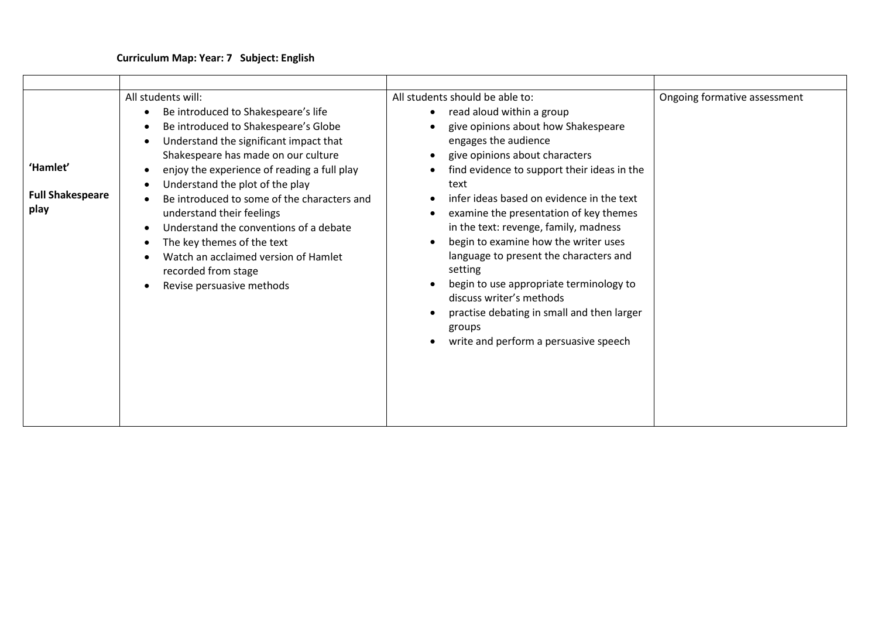| 'Hamlet'<br><b>Full Shakespeare</b><br>play | All students will:<br>Be introduced to Shakespeare's life<br>$\bullet$<br>Be introduced to Shakespeare's Globe<br>$\bullet$<br>Understand the significant impact that<br>$\bullet$<br>Shakespeare has made on our culture<br>enjoy the experience of reading a full play<br>$\bullet$<br>Understand the plot of the play<br>$\bullet$<br>Be introduced to some of the characters and<br>$\bullet$<br>understand their feelings<br>Understand the conventions of a debate<br>$\bullet$<br>The key themes of the text<br>$\bullet$<br>Watch an acclaimed version of Hamlet<br>recorded from stage<br>Revise persuasive methods | All students should be able to:<br>read aloud within a group<br>$\bullet$<br>give opinions about how Shakespeare<br>engages the audience<br>give opinions about characters<br>$\bullet$<br>find evidence to support their ideas in the<br>$\bullet$<br>text<br>infer ideas based on evidence in the text<br>examine the presentation of key themes<br>in the text: revenge, family, madness<br>begin to examine how the writer uses<br>$\bullet$<br>language to present the characters and<br>setting<br>begin to use appropriate terminology to<br>discuss writer's methods<br>practise debating in small and then larger<br>groups<br>write and perform a persuasive speech | Ongoing formative assessment |
|---------------------------------------------|------------------------------------------------------------------------------------------------------------------------------------------------------------------------------------------------------------------------------------------------------------------------------------------------------------------------------------------------------------------------------------------------------------------------------------------------------------------------------------------------------------------------------------------------------------------------------------------------------------------------------|-------------------------------------------------------------------------------------------------------------------------------------------------------------------------------------------------------------------------------------------------------------------------------------------------------------------------------------------------------------------------------------------------------------------------------------------------------------------------------------------------------------------------------------------------------------------------------------------------------------------------------------------------------------------------------|------------------------------|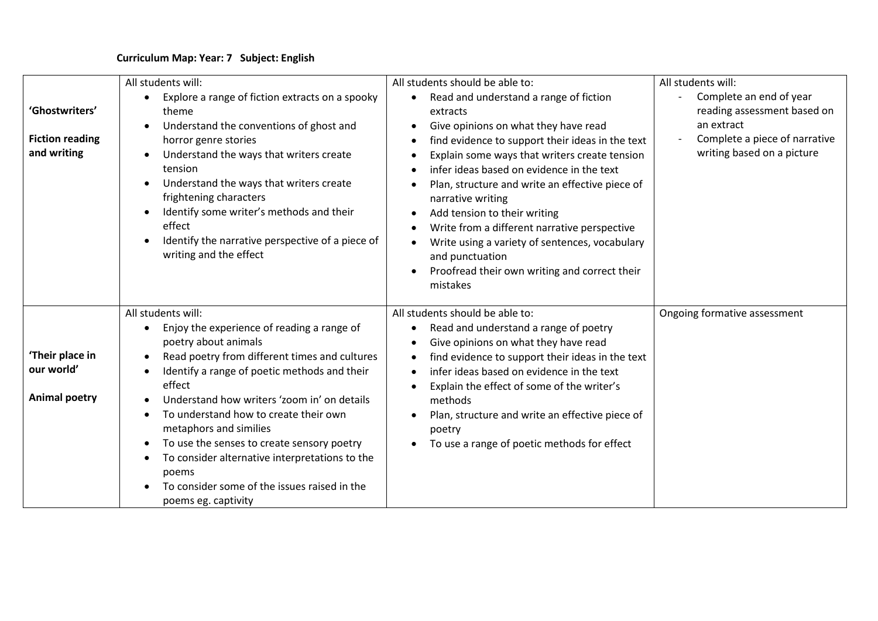|                                                         | All students will:                                                                                                                                                                                                                                                                                                                                                                                                                                                                                                                                                     | All students should be able to:                                                                                                                                                                                                                                                                                                                                                                                                                                                                                                                                  | All students will:                                                                                                                  |
|---------------------------------------------------------|------------------------------------------------------------------------------------------------------------------------------------------------------------------------------------------------------------------------------------------------------------------------------------------------------------------------------------------------------------------------------------------------------------------------------------------------------------------------------------------------------------------------------------------------------------------------|------------------------------------------------------------------------------------------------------------------------------------------------------------------------------------------------------------------------------------------------------------------------------------------------------------------------------------------------------------------------------------------------------------------------------------------------------------------------------------------------------------------------------------------------------------------|-------------------------------------------------------------------------------------------------------------------------------------|
| 'Ghostwriters'<br><b>Fiction reading</b><br>and writing | Explore a range of fiction extracts on a spooky<br>$\bullet$<br>theme<br>Understand the conventions of ghost and<br>horror genre stories<br>Understand the ways that writers create<br>tension<br>Understand the ways that writers create<br>frightening characters<br>Identify some writer's methods and their<br>effect<br>Identify the narrative perspective of a piece of<br>writing and the effect                                                                                                                                                                | Read and understand a range of fiction<br>$\bullet$<br>extracts<br>Give opinions on what they have read<br>find evidence to support their ideas in the text<br>Explain some ways that writers create tension<br>infer ideas based on evidence in the text<br>Plan, structure and write an effective piece of<br>narrative writing<br>Add tension to their writing<br>Write from a different narrative perspective<br>$\bullet$<br>Write using a variety of sentences, vocabulary<br>and punctuation<br>Proofread their own writing and correct their<br>mistakes | Complete an end of year<br>reading assessment based on<br>an extract<br>Complete a piece of narrative<br>writing based on a picture |
| 'Their place in<br>our world'<br><b>Animal poetry</b>   | All students will:<br>Enjoy the experience of reading a range of<br>$\bullet$<br>poetry about animals<br>Read poetry from different times and cultures<br>$\bullet$<br>Identify a range of poetic methods and their<br>effect<br>Understand how writers 'zoom in' on details<br>To understand how to create their own<br>$\bullet$<br>metaphors and similies<br>To use the senses to create sensory poetry<br>$\bullet$<br>To consider alternative interpretations to the<br>$\bullet$<br>poems<br>To consider some of the issues raised in the<br>poems eg. captivity | All students should be able to:<br>Read and understand a range of poetry<br>$\bullet$<br>Give opinions on what they have read<br>find evidence to support their ideas in the text<br>$\bullet$<br>infer ideas based on evidence in the text<br>Explain the effect of some of the writer's<br>methods<br>Plan, structure and write an effective piece of<br>poetry<br>To use a range of poetic methods for effect                                                                                                                                                 | Ongoing formative assessment                                                                                                        |